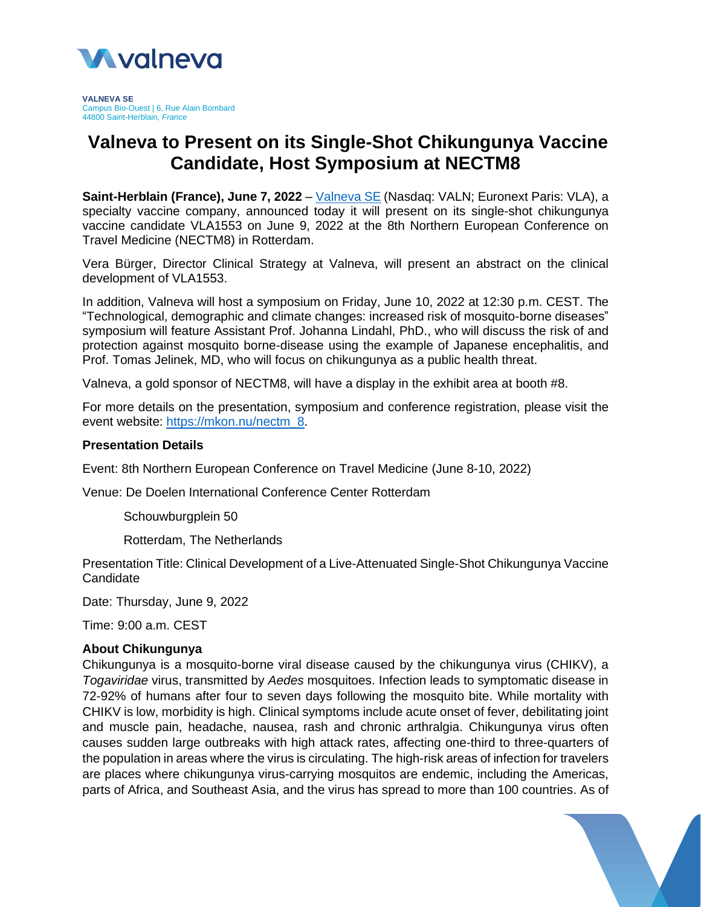

**VALNEVA SE** Campus Bio-Ouest | 6, Rue Alain Bombard 44800 Saint-Herblain, *France*

# **Valneva to Present on its Single-Shot Chikungunya Vaccine Candidate, Host Symposium at NECTM8**

**Saint-Herblain (France), June 7, 2022** – [Valneva SE](http://www.valneva.com/) (Nasdaq: VALN; Euronext Paris: VLA), a specialty vaccine company, announced today it will present on its single-shot chikungunya vaccine candidate VLA1553 on June 9, 2022 at the 8th Northern European Conference on Travel Medicine (NECTM8) in Rotterdam.

Vera Bürger, Director Clinical Strategy at Valneva, will present an abstract on the clinical development of VLA1553.

In addition, Valneva will host a symposium on Friday, June 10, 2022 at 12:30 p.m. CEST. The "Technological, demographic and climate changes: increased risk of mosquito-borne diseases" symposium will feature Assistant Prof. Johanna Lindahl, PhD., who will discuss the risk of and protection against mosquito borne-disease using the example of Japanese encephalitis, and Prof. Tomas Jelinek, MD, who will focus on chikungunya as a public health threat.

Valneva, a gold sponsor of NECTM8, will have a display in the exhibit area at booth #8.

For more details on the presentation, symposium and conference registration, please visit the event website: [https://mkon.nu/nectm\\_8.](https://mkon.nu/nectm_8)

#### **Presentation Details**

Event: 8th Northern European Conference on Travel Medicine (June 8-10, 2022)

Venue: De Doelen International Conference Center Rotterdam

Schouwburgplein 50

Rotterdam, The Netherlands

Presentation Title: Clinical Development of a Live-Attenuated Single-Shot Chikungunya Vaccine **Candidate** 

Date: Thursday, June 9, 2022

Time: 9:00 a.m. CEST

#### **About Chikungunya**

Chikungunya is a mosquito-borne viral disease caused by the chikungunya virus (CHIKV), a *Togaviridae* virus, transmitted by *Aedes* mosquitoes. Infection leads to symptomatic disease in 72-92% of humans after four to seven days following the mosquito bite. While mortality with CHIKV is low, morbidity is high. Clinical symptoms include acute onset of fever, debilitating joint and muscle pain, headache, nausea, rash and chronic arthralgia. Chikungunya virus often causes sudden large outbreaks with high attack rates, affecting one-third to three-quarters of the population in areas where the virus is circulating. The high-risk areas of infection for travelers are places where chikungunya virus-carrying mosquitos are endemic, including the Americas, parts of Africa, and Southeast Asia, and the virus has spread to more than 100 countries. As of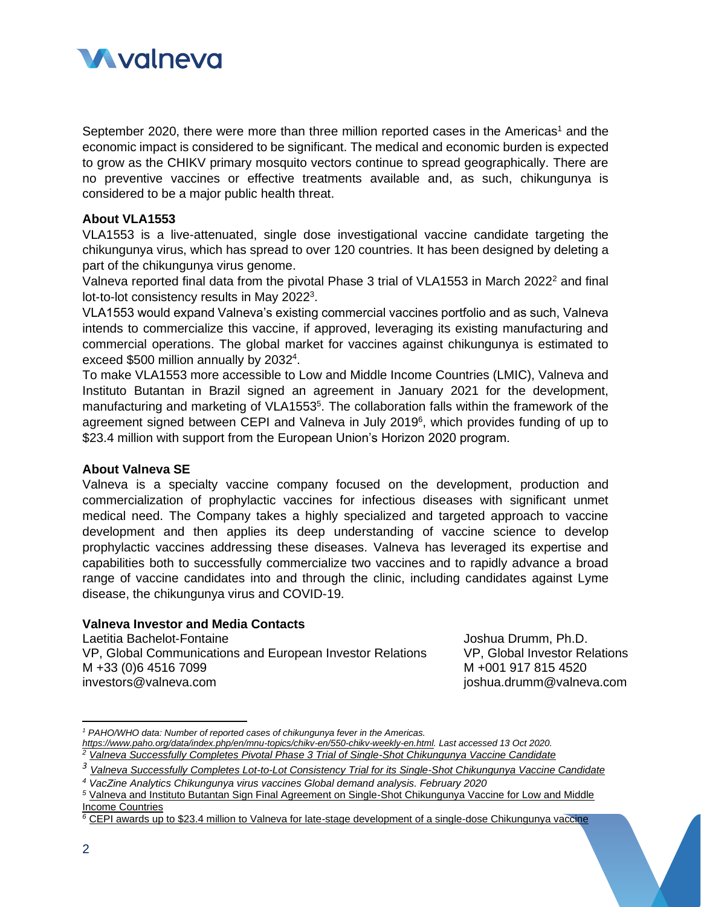

September 2020, there were more than three million reported cases in the Americas<sup>1</sup> and the economic impact is considered to be significant. The medical and economic burden is expected to grow as the CHIKV primary mosquito vectors continue to spread geographically. There are no preventive vaccines or effective treatments available and, as such, chikungunya is considered to be a major public health threat.

## **About VLA1553**

VLA1553 is a live-attenuated, single dose investigational vaccine candidate targeting the chikungunya virus, which has spread to over 120 countries. It has been designed by deleting a part of the chikungunya virus genome.

Valneva reported final data from the pivotal Phase 3 trial of VLA1553 in March 2022<sup>2</sup> and final lot-to-lot consistency results in May 2022<sup>3</sup>.

VLA1553 would expand Valneva's existing commercial vaccines portfolio and as such, Valneva intends to commercialize this vaccine, if approved, leveraging its existing manufacturing and commercial operations. The global market for vaccines against chikungunya is estimated to exceed \$500 million annually by 2032<sup>4</sup>.

To make VLA1553 more accessible to Low and Middle Income Countries (LMIC), Valneva and Instituto Butantan in Brazil signed an agreement in January 2021 for the development, manufacturing and marketing of VLA1553<sup>5</sup>. The collaboration falls within the framework of the agreement signed between CEPI and Valneva in July 2019<sup>6</sup>, which provides funding of up to \$23.4 million with support from the European Union's Horizon 2020 program.

#### **About Valneva SE**

Valneva is a specialty vaccine company focused on the development, production and commercialization of prophylactic vaccines for infectious diseases with significant unmet medical need. The Company takes a highly specialized and targeted approach to vaccine development and then applies its deep understanding of vaccine science to develop prophylactic vaccines addressing these diseases. Valneva has leveraged its expertise and capabilities both to successfully commercialize two vaccines and to rapidly advance a broad range of vaccine candidates into and through the clinic, including candidates against Lyme disease, the chikungunya virus and COVID-19.

### **Valneva Investor and Media Contacts**

Laetitia Bachelot-Fontaine VP, Global Communications and European Investor Relations M +33 (0)6 4516 7099 investors@valneva.com

Joshua Drumm, Ph.D. VP, Global Investor Relations M +001 917 815 4520 joshua.drumm@valneva.com

*<sup>2</sup> [Valneva Successfully Completes Pivotal Phase 3 Trial of Single-Shot Chikungunya Vaccine Candidate](https://valneva.com/press-release/valneva-successfully-completes-pivotal-phase-3-trial-of-single-shot-chikungunya-vaccine-candidate)*

*<sup>1</sup> PAHO/WHO data: Number of reported cases of chikungunya fever in the Americas. [https://www.paho.org/data/index.php/en/mnu-topics/chikv-en/550-chikv-weekly-en.html.](https://www.paho.org/data/index.php/en/mnu-topics/chikv-en/550-chikv-weekly-en.html) Last accessed 13 Oct 2020.*

*<sup>3</sup> [Valneva Successfully Completes Lot-to-Lot Consistency Trial for its Single-Shot Chikungunya Vaccine Candidate](https://valneva.com/press-release/valneva-successfully-completes-lot-to-lot-consistency-trial-for-its-single-shot-chikungunya-vaccine-candidate/)*

*<sup>4</sup> VacZine Analytics Chikungunya virus vaccines Global demand analysis. February 2020*

*<sup>5</sup>* [Valneva and Instituto Butantan Sign Final Agreement on Single-Shot Chikungunya Vaccine for Low and Middle](https://valneva.com/press-release/valneva-and-instituto-butantan-sign-final-agreement-on-single-shot-chikungunya-vaccine-for-low-and-middle-income-countries/)  [Income Countries](https://valneva.com/press-release/valneva-and-instituto-butantan-sign-final-agreement-on-single-shot-chikungunya-vaccine-for-low-and-middle-income-countries/)

*<sup>6</sup>* [CEPI awards up to \\$23.4 million to Valneva for late-stage development of a single-dose Chikungunya vaccine](https://valneva.com/press-release/cepi-awards-up-to-us23-4-million-to-valneva-for-late-stage-development-of-a-single-dose-chikungunya-vaccine/)